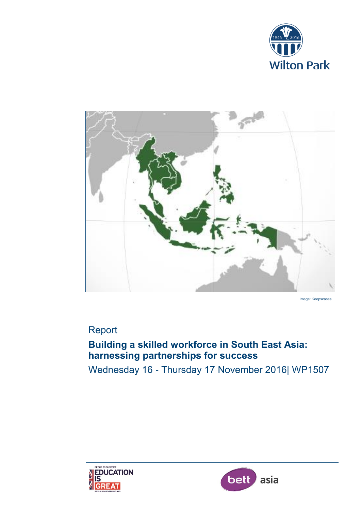



Image: Keepscases

# Report

# **Building a skilled workforce in South East Asia: harnessing partnerships for success**

Wednesday 16 - Thursday 17 November 2016| WP1507



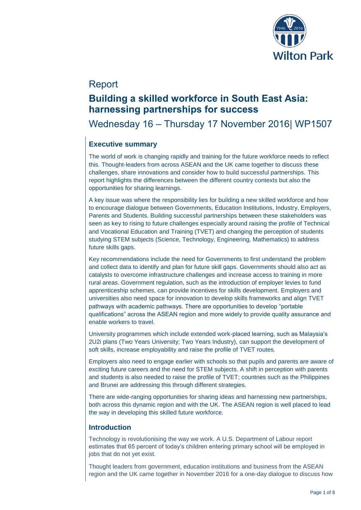

## Report

## **Building a skilled workforce in South East Asia: harnessing partnerships for success**

Wednesday 16 – Thursday 17 November 2016| WP1507

## **Executive summary**

The world of work is changing rapidly and training for the future workforce needs to reflect this. Thought-leaders from across ASEAN and the UK came together to discuss these challenges, share innovations and consider how to build successful partnerships. This report highlights the differences between the different country contexts but also the opportunities for sharing learnings.

A key issue was where the responsibility lies for building a new skilled workforce and how to encourage dialogue between Governments, Education Institutions, Industry, Employers, Parents and Students. Building successful partnerships between these stakeholders was seen as key to rising to future challenges especially around raising the profile of Technical and Vocational Education and Training (TVET) and changing the perception of students studying STEM subjects (Science, Technology, Engineering, Mathematics) to address future skills gaps.

Key recommendations include the need for Governments to first understand the problem and collect data to identify and plan for future skill gaps. Governments should also act as catalysts to overcome infrastructure challenges and increase access to training in more rural areas. Government regulation, such as the introduction of employer levies to fund apprenticeship schemes, can provide incentives for skills development. Employers and universities also need space for innovation to develop skills frameworks and align TVET pathways with academic pathways. There are opportunities to develop "portable qualifications" across the ASEAN region and more widely to provide quality assurance and enable workers to travel.

University programmes which include extended work-placed learning, such as Malaysia's 2U2i plans (Two Years University; Two Years Industry), can support the development of soft skills, increase employability and raise the profile of TVET routes.

Employers also need to engage earlier with schools so that pupils and parents are aware of exciting future careers and the need for STEM subjects. A shift in perception with parents and students is also needed to raise the profile of TVET; countries such as the Philippines and Brunei are addressing this through different strategies.

There are wide-ranging opportunities for sharing ideas and harnessing new partnerships, both across this dynamic region and with the UK. The ASEAN region is well placed to lead the way in developing this skilled future workforce.

## **Introduction**

Technology is revolutionising the way we work. A U.S. Department of Labour report estimates that 65 percent of today's children entering primary school will be employed in jobs that do not yet exist.

Thought leaders from government, education institutions and business from the ASEAN region and the UK came together in November 2016 for a one-day dialogue to discuss how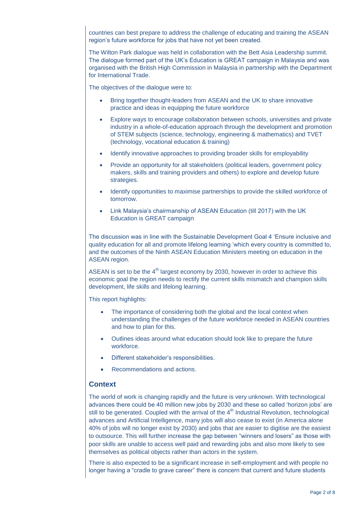countries can best prepare to address the challenge of educating and training the ASEAN region's future workforce for jobs that have not yet been created.

The Wilton Park dialogue was held in collaboration with the Bett Asia Leadership summit. The dialogue formed part of the UK's Education is GREAT campaign in Malaysia and was organised with the British High Commission in Malaysia in partnership with the Department for International Trade.

The objectives of the dialogue were to:

- Bring together thought-leaders from ASEAN and the UK to share innovative practice and ideas in equipping the future workforce
- Explore ways to encourage collaboration between schools, universities and private industry in a whole-of-education approach through the development and promotion of STEM subjects (science, technology, engineering & mathematics) and TVET (technology, vocational education & training)
- Identify innovative approaches to providing broader skills for employability
- Provide an opportunity for all stakeholders (political leaders, government policy makers, skills and training providers and others) to explore and develop future strategies.
- Identify opportunities to maximise partnerships to provide the skilled workforce of tomorrow.
- Link Malaysia's chairmanship of ASEAN Education (till 2017) with the UK Education is GREAT campaign

The discussion was in line with the Sustainable Development Goal 4 'Ensure inclusive and quality education for all and promote lifelong learning 'which every country is committed to, and the outcomes of the Ninth ASEAN Education Ministers meeting on education in the ASEAN region.

ASEAN is set to be the  $4<sup>th</sup>$  largest economy by 2030, however in order to achieve this economic goal the region needs to rectify the current skills mismatch and champion skills development, life skills and lifelong learning.

This report highlights:

- The importance of considering both the global and the local context when understanding the challenges of the future workforce needed in ASEAN countries and how to plan for this.
- Outlines ideas around what education should look like to prepare the future workforce.
- Different stakeholder's responsibilities.
- Recommendations and actions.

### **Context**

The world of work is changing rapidly and the future is very unknown. With technological advances there could be 40 million new jobs by 2030 and these so called 'horizon jobs' are still to be generated. Coupled with the arrival of the  $4<sup>th</sup>$  Industrial Revolution, technological advances and Artificial Intelligence, many jobs will also cease to exist (in America alone 40% of jobs will no longer exist by 2030) and jobs that are easier to digitise are the easiest to outsource. This will further increase the gap between "winners and losers" as those with poor skills are unable to access well paid and rewarding jobs and also more likely to see themselves as political objects rather than actors in the system.

There is also expected to be a significant increase in self-employment and with people no longer having a "cradle to grave career" there is concern that current and future students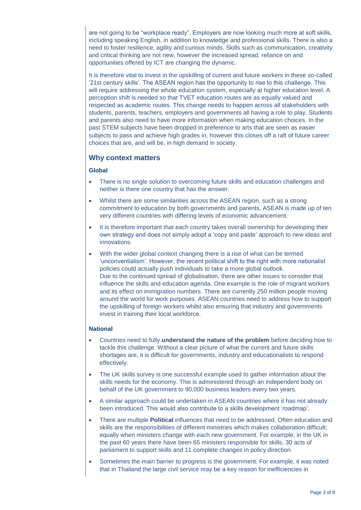are not going to be "workplace ready". Employers are now looking much more at soft skills, including speaking English, in addition to knowledge and professional skills. There is also a need to foster resilience, agility and curious minds. Skills such as communication, creativity and critical thinking are not new, however the increased spread, reliance on and opportunities offered by ICT are changing the dynamic.

It is therefore vital to invest in the upskilling of current and future workers in these so-called '21st century skills'. The ASEAN region has the opportunity to rise to this challenge. This will require addressing the whole education system, especially at higher education level. A perception shift is needed so that TVET education routes are as equally valued and respected as academic routes. This change needs to happen across all stakeholders with students, parents, teachers, employers and governments all having a role to play. Students and parents also need to have more information when making education choices. In the past STEM subjects have been dropped in preference to arts that are seen as easier subjects to pass and achieve high grades in, however this closes off a raft of future career choices that are, and will be, in high demand in society.

### **Why context matters**

#### **Global**

- There is no single solution to overcoming future skills and education challenges and neither is there one country that has the answer.
- Whilst there are some similarities across the ASEAN region, such as a strong commitment to education by both governments and parents, ASEAN is made up of ten very different countries with differing levels of economic advancement.
- It is therefore important that each country takes overall ownership for developing their own strategy and does not simply adopt a 'copy and paste' approach to new ideas and innovations.
- With the wider global context changing there is a rise of what can be termed 'unconventialism'. However, the recent political shift to the right with more nationalist policies could actually push individuals to take a more global outlook. Due to the continued spread of globalisation, there are other issues to consider that influence the skills and education agenda. One example is the role of migrant workers and its effect on immigration numbers. There are currently 250 million people moving around the world for work purposes. ASEAN countries need to address how to support the upskilling of foreign workers whilst also ensuring that industry and governments invest in training their local workforce.

#### **National**

- Countries need to fully **understand the nature of the problem** before deciding how to tackle this challenge. Without a clear picture of what the current and future skills shortages are, it is difficult for governments, industry and educationalists to respond effectively.
- The UK skills survey is one successful example used to gather information about the skills needs for the economy. This is administered through an independent body on behalf of the UK government to 90,000 business leaders every two years.
- A similar approach could be undertaken in ASEAN countries where it has not already been introduced. This would also contribute to a skills development 'roadmap'.
- There are multiple **Political** influences that need to be addressed. Often education and skills are the responsibilities of different ministries which makes collaboration difficult; equally when ministers change with each new government. For example, in the UK in the past 60 years there have been 65 ministers responsible for skills, 30 acts of parliament to support skills and 11 complete changes in policy direction.
- Sometimes the main barrier to progress is the government. For example, it was noted that in Thailand the large civil service may be a key reason for inefficiencies in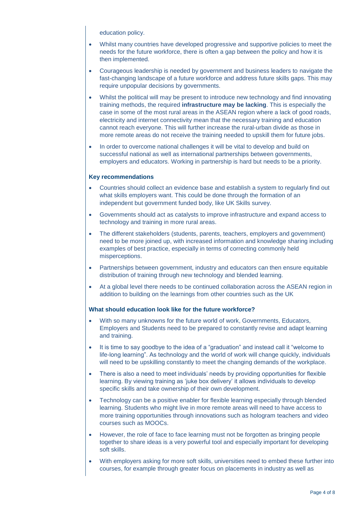education policy.

- Whilst many countries have developed progressive and supportive policies to meet the needs for the future workforce, there is often a gap between the policy and how it is then implemented.
- Courageous leadership is needed by government and business leaders to navigate the fast-changing landscape of a future workforce and address future skills gaps. This may require unpopular decisions by governments.
- Whilst the political will may be present to introduce new technology and find innovating training methods, the required **infrastructure may be lacking**. This is especially the case in some of the most rural areas in the ASEAN region where a lack of good roads, electricity and internet connectivity mean that the necessary training and education cannot reach everyone. This will further increase the rural-urban divide as those in more remote areas do not receive the training needed to upskill them for future jobs.
- In order to overcome national challenges it will be vital to develop and build on successful national as well as international partnerships between governments, employers and educators. Working in partnership is hard but needs to be a priority.

#### **Key recommendations**

- Countries should collect an evidence base and establish a system to regularly find out what skills employers want. This could be done through the formation of an independent but government funded body, like UK Skills survey.
- Governments should act as catalysts to improve infrastructure and expand access to technology and training in more rural areas.
- The different stakeholders (students, parents, teachers, employers and government) need to be more joined up, with increased information and knowledge sharing including examples of best practice, especially in terms of correcting commonly held misperceptions.
- Partnerships between government, industry and educators can then ensure equitable distribution of training through new technology and blended learning.
- At a global level there needs to be continued collaboration across the ASEAN region in addition to building on the learnings from other countries such as the UK

#### **What should education look like for the future workforce?**

- With so many unknowns for the future world of work, Governments, Educators, Employers and Students need to be prepared to constantly revise and adapt learning and training.
- It is time to say goodbye to the idea of a "graduation" and instead call it "welcome to life-long learning". As technology and the world of work will change quickly, individuals will need to be upskilling constantly to meet the changing demands of the workplace.
- There is also a need to meet individuals' needs by providing opportunities for flexible learning. By viewing training as 'juke box delivery' it allows individuals to develop specific skills and take ownership of their own development.
- Technology can be a positive enabler for flexible learning especially through blended learning. Students who might live in more remote areas will need to have access to more training opportunities through innovations such as hologram teachers and video courses such as MOOCs.
- However, the role of face to face learning must not be forgotten as bringing people together to share ideas is a very powerful tool and especially important for developing soft skills.
- With employers asking for more soft skills, universities need to embed these further into courses, for example through greater focus on placements in industry as well as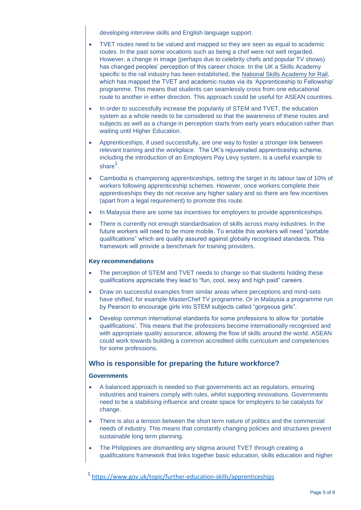developing interview skills and English language support.

- TVET routes need to be valued and mapped so they are seen as equal to academic routes. In the past some vocations such as being a chef were not well regarded. However, a change in image (perhaps due to celebrity chefs and popular TV shows) has changed peoples' perception of this career choice. In the UK a Skills Academy specific to the rail industry has been established, the [National Skills Academy for Rail,](http://www.nsar.co.uk/) which has mapped the TVET and academic routes via its 'Apprenticeship to Fellowship' programme. This means that students can seamlessly cross from one educational route to another in either direction. This approach could be useful for ASEAN countries.
- In order to successfully increase the popularity of STEM and TVET, the education system as a whole needs to be considered so that the awareness of these routes and subjects as well as a change in perception starts from early years education rather than waiting until Higher Education.
- Apprenticeships, if used successfully, are one way to foster a stronger link between relevant training and the workplace. The UK's rejuvenated apprenticeship scheme, including the introduction of an Employers Pay Levy system, is a useful example to share $^{\mathsf{1}}$ .
- Cambodia is championing apprenticeships, setting the target in its labour law of 10% of workers following apprenticeship schemes. However, once workers complete their apprenticeships they do not receive any higher salary and so there are few incentives (apart from a legal requirement) to promote this route.
- In Malaysia there are some tax incentives for employers to provide apprenticeships.
- There is currently not enough standardisation of skills across many industries. In the future workers will need to be more mobile. To enable this workers will need "portable qualifications" which are quality assured against globally recognised standards. This framework will provide a benchmark for training providers.

#### **Key recommendations**

- The perception of STEM and TVET needs to change so that students holding these qualifications appreciate they lead to "fun, cool, sexy and high paid" careers.
- Draw on successful examples from similar areas where perceptions and mind-sets have shifted, for example MasterChef TV programme. Or in Malaysia a programme run by Pearson to encourage girls into STEM subjects called "gorgeous girls".
- Develop common international standards for some professions to allow for 'portable qualifications'. This means that the professions become internationally recognised and with appropriate quality assurance, allowing the flow of skills around the world. ASEAN could work towards building a common accredited skills curriculum and competencies for some professions.

#### **Who is responsible for preparing the future workforce?**

#### **Governments**

- A balanced approach is needed so that governments act as regulators, ensuring industries and trainers comply with rules, whilst supporting innovations. Governments need to be a stabilising influence and create space for employers to be catalysts for change.
- There is also a tension between the short term nature of politics and the commercial needs of industry. This means that constantly changing policies and structures prevent sustainable long term planning.
- The Philippines are dismantling any stigma around TVET through creating a qualifications framework that links together basic education, skills education and higher

<sup>1</sup> <https://www.gov.uk/topic/further-education-skills/apprenticeships>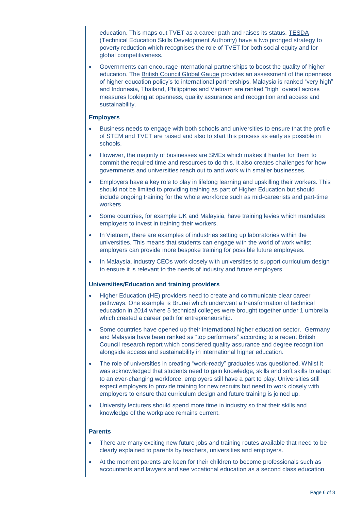education. This maps out TVET as a career path and raises its status. [TESDA](http://www.tesda.gov.ph/) (Technical Education Skills Development Authority) have a two pronged strategy to poverty reduction which recognises the role of TVET for both social equity and for global competitiveness.

 Governments can encourage international partnerships to boost the quality of higher education. The [British Council Global Gauge](https://www.britishcouncil.org/education/ihe/knowledge-centre/global-landscape/global-gauge) provides an assessment of the openness of higher education policy's to international partnerships. Malaysia is ranked "very high" and Indonesia, Thailand, Philippines and Vietnam are ranked "high" overall across measures looking at openness, quality assurance and recognition and access and sustainability.

#### **Employers**

- Business needs to engage with both schools and universities to ensure that the profile of STEM and TVET are raised and also to start this process as early as possible in schools.
- However, the majority of businesses are SMEs which makes it harder for them to commit the required time and resources to do this. It also creates challenges for how governments and universities reach out to and work with smaller businesses.
- Employers have a key role to play in lifelong learning and upskilling their workers. This should not be limited to providing training as part of Higher Education but should include ongoing training for the whole workforce such as mid-careerists and part-time workers
- Some countries, for example UK and Malaysia, have training levies which mandates employers to invest in training their workers.
- In Vietnam, there are examples of industries setting up laboratories within the universities. This means that students can engage with the world of work whilst employers can provide more bespoke training for possible future employees.
- In Malaysia, industry CEOs work closely with universities to support curriculum design to ensure it is relevant to the needs of industry and future employers.

#### **Universities/Education and training providers**

- Higher Education (HE) providers need to create and communicate clear career pathways. One example is Brunei which underwent a transformation of technical education in 2014 where 5 technical colleges were brought together under 1 umbrella which created a career path for entrepreneurship.
- Some countries have opened up their international higher education sector. Germany and Malaysia have been ranked as "top performers" according to a recent British Council research report which considered quality assurance and degree recognition alongside access and sustainability in international higher education.
- The role of universities in creating "work-ready" graduates was questioned. Whilst it was acknowledged that students need to gain knowledge, skills and soft skills to adapt to an ever-changing workforce, employers still have a part to play. Universities still expect employers to provide training for new recruits but need to work closely with employers to ensure that curriculum design and future training is joined up.
- University lecturers should spend more time in industry so that their skills and knowledge of the workplace remains current.

#### **Parents**

- There are many exciting new future jobs and training routes available that need to be clearly explained to parents by teachers, universities and employers.
- At the moment parents are keen for their children to become professionals such as accountants and lawyers and see vocational education as a second class education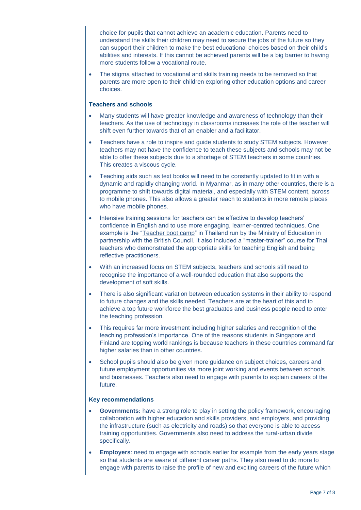choice for pupils that cannot achieve an academic education. Parents need to understand the skills their children may need to secure the jobs of the future so they can support their children to make the best educational choices based on their child's abilities and interests. If this cannot be achieved parents will be a big barrier to having more students follow a vocational route.

 The stigma attached to vocational and skills training needs to be removed so that parents are more open to their children exploring other education options and career choices.

#### **Teachers and schools**

- Many students will have greater knowledge and awareness of technology than their teachers. As the use of technology in classrooms increases the role of the teacher will shift even further towards that of an enabler and a facilitator.
- Teachers have a role to inspire and guide students to study STEM subjects. However, teachers may not have the confidence to teach these subjects and schools may not be able to offer these subjects due to a shortage of STEM teachers in some countries. This creates a viscous cycle.
- Teaching aids such as text books will need to be constantly updated to fit in with a dynamic and rapidly changing world. In Myanmar, as in many other countries, there is a programme to shift towards digital material, and especially with STEM content, across to mobile phones. This also allows a greater reach to students in more remote places who have mobile phones.
- Intensive training sessions for teachers can be effective to develop teachers' confidence in English and to use more engaging, learner-centred techniques. One example is the ["Teacher boot camp"](https://www.britishcouncil.my/teachingenglish-asia/news/ThailandBootCamp) in Thailand run by the Ministry of Education in partnership with the British Council. It also included a "master-trainer" course for Thai teachers who demonstrated the appropriate skills for teaching English and being reflective practitioners.
- With an increased focus on STEM subjects, teachers and schools still need to recognise the importance of a well-rounded education that also supports the development of soft skills.
- There is also significant variation between education systems in their ability to respond to future changes and the skills needed. Teachers are at the heart of this and to achieve a top future workforce the best graduates and business people need to enter the teaching profession.
- This requires far more investment including higher salaries and recognition of the teaching profession's importance. One of the reasons students in Singapore and Finland are topping world rankings is because teachers in these countries command far higher salaries than in other countries.
- School pupils should also be given more guidance on subject choices, careers and future employment opportunities via more joint working and events between schools and businesses. Teachers also need to engage with parents to explain careers of the future.

#### **Key recommendations**

- **Governments:** have a strong role to play in setting the policy framework, encouraging collaboration with higher education and skills providers, and employers, and providing the infrastructure (such as electricity and roads) so that everyone is able to access training opportunities. Governments also need to address the rural-urban divide specifically.
- **Employers**: need to engage with schools earlier for example from the early years stage so that students are aware of different career paths. They also need to do more to engage with parents to raise the profile of new and exciting careers of the future which